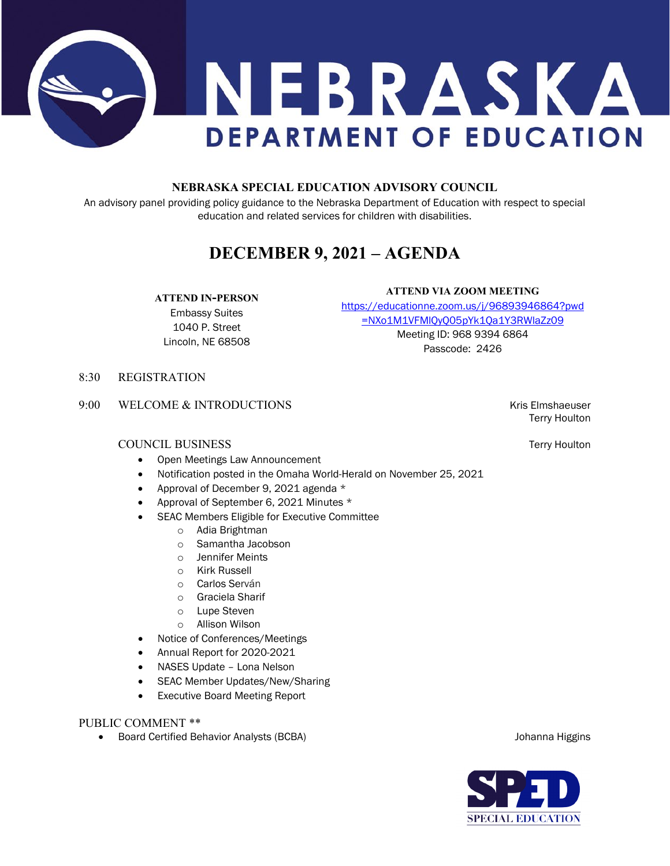

## **NEBRASKA SPECIAL EDUCATION ADVISORY COUNCIL**

An advisory panel providing policy guidance to the Nebraska Department of Education with respect to special education and related services for children with disabilities.

# **DECEMBER 9, 2021 – AGENDA**

## **ATTEND IN-PERSON**

Embassy Suites 1040 P. Street Lincoln, NE 68508 [https://educationne.zoom.us/j/96893946864?pwd](https://educationne.zoom.us/j/96893946864?pwd=NXo1M1VFMlQyQ05pYk1Qa1Y3RWlaZz09) [=NXo1M1VFMlQyQ05pYk1Qa1Y3RWlaZz09](https://educationne.zoom.us/j/96893946864?pwd=NXo1M1VFMlQyQ05pYk1Qa1Y3RWlaZz09)  Meeting ID: 968 9394 6864 Passcode: 2426

**ATTEND VIA ZOOM MEETING**

8:30 REGISTRATION

9:00 WELCOME & INTRODUCTIONS THE STATE RESERVE THAT SHOW RESERVES THE RESERVE THAT A SHOW RESERVES THAT A SHOW RESERVES THAT A SHOW RESERVES THAT A SHOW RESERVES THAT A SHOW RESERVES THAT A SHOW RESERVES THAT A SHOW RESERV

## COUNCIL BUSINESS Terry Houlton

- Open Meetings Law Announcement
- Notification posted in the Omaha World-Herald on November 25, 2021
- Approval of December 9, 2021 agenda \*
- Approval of September 6, 2021 Minutes \*
- SEAC Members Eligible for Executive Committee
	- o Adia Brightman
	- o Samantha Jacobson
	- o Jennifer Meints
	- o Kirk Russell
	- o Carlos Serván
	- o Graciela Sharif
	- o Lupe Steven
	- o Allison Wilson
- Notice of Conferences/Meetings
- Annual Report for 2020-2021
- NASES Update Lona Nelson
- SEAC Member Updates/New/Sharing
- Executive Board Meeting Report

## PUBLIC COMMENT \*\*

• Board Certified Behavior Analysts (BCBA) Johanna Higgins

Terry Houlton

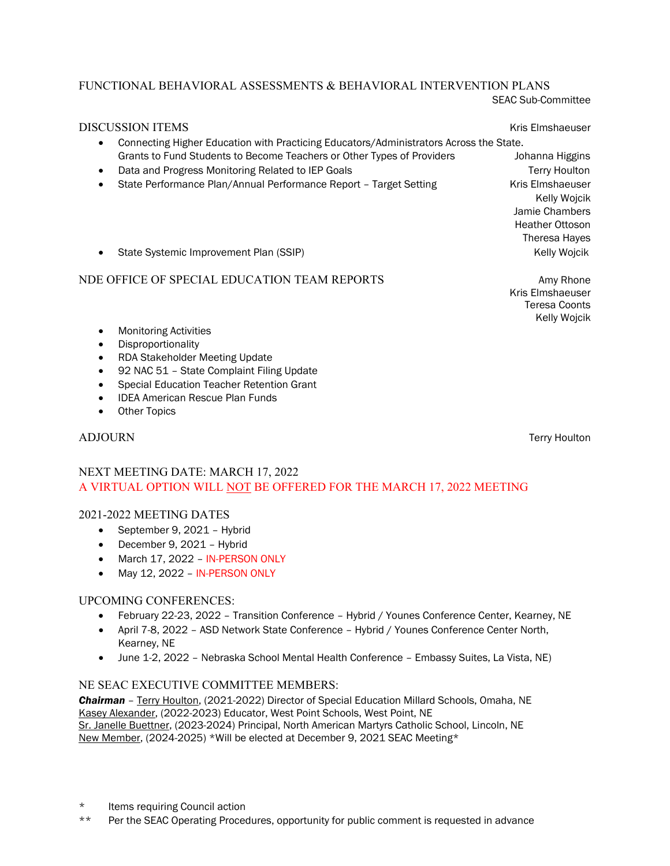## FUNCTIONAL BEHAVIORAL ASSESSMENTS & BEHAVIORAL INTERVENTION PLANS SEAC Sub-Committee

| <b>DISCUSSION ITEMS</b><br>Connecting Higher Education with Practicing Educators/Administrators Across the State.<br>$\bullet$ | <b>Kris Elmshaeuser</b>                                                                              |
|--------------------------------------------------------------------------------------------------------------------------------|------------------------------------------------------------------------------------------------------|
| Grants to Fund Students to Become Teachers or Other Types of Providers                                                         | Johanna Higgins                                                                                      |
| Data and Progress Monitoring Related to IEP Goals                                                                              | <b>Terry Houlton</b>                                                                                 |
| State Performance Plan/Annual Performance Report - Target Setting                                                              | Kris Elmshaeuser<br>Kelly Wojcik<br>Jamie Chambers<br><b>Heather Ottoson</b><br><b>Theresa Hayes</b> |
| State Systemic Improvement Plan (SSIP)<br>$\bullet$                                                                            | <b>Kelly Wojcik</b>                                                                                  |
| NDE OFFICE OF SPECIAL EDUCATION TEAM REPORTS                                                                                   | Amy Rhone                                                                                            |

Kris Elmshaeuser Teresa Coonts Kelly Wojcik

- Monitoring Activities
- Disproportionality
- RDA Stakeholder Meeting Update
- 92 NAC 51 State Complaint Filing Update
- Special Education Teacher Retention Grant
- IDEA American Rescue Plan Funds
- Other Topics

ADJOURN Terry Houlton

## NEXT MEETING DATE: MARCH 17, 2022 A VIRTUAL OPTION WILL NOT BE OFFERED FOR THE MARCH 17, 2022 MEETING

## 2021-2022 MEETING DATES

- September 9, 2021 Hybrid
- December 9, 2021 Hybrid
- March 17, 2022 IN-PERSON ONLY
- May 12, 2022 IN-PERSON ONLY

## UPCOMING CONFERENCES:

- February 22-23, 2022 Transition Conference Hybrid / Younes Conference Center, Kearney, NE
- April 7-8, 2022 ASD Network State Conference Hybrid / Younes Conference Center North, Kearney, NE
- June 1-2, 2022 Nebraska School Mental Health Conference Embassy Suites, La Vista, NE)

## NE SEAC EXECUTIVE COMMITTEE MEMBERS:

*Chairman* – Terry Houlton, (2021-2022) Director of Special Education Millard Schools, Omaha, NE Kasey Alexander, (2022-2023) Educator, West Point Schools, West Point, NE Sr. Janelle Buettner, (2023-2024) Principal, North American Martyrs Catholic School, Lincoln, NE New Member, (2024-2025) \*Will be elected at December 9, 2021 SEAC Meeting\*

- \* Items requiring Council action
- \*\* Per the SEAC Operating Procedures, opportunity for public comment is requested in advance